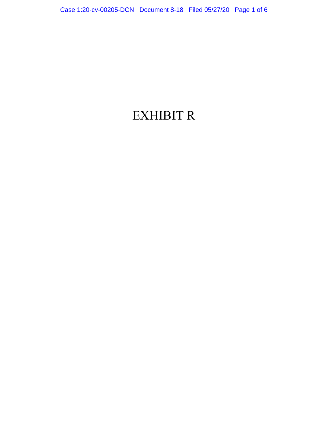## EXHIBIT R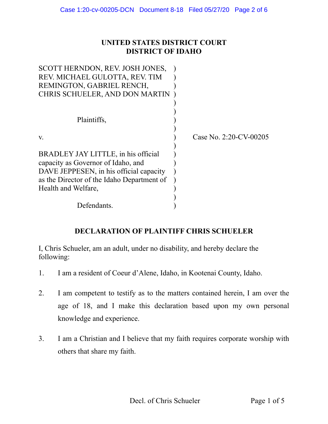## **UNITED STATES DISTRICT COURT DISTRICT OF IDAHO**

| SCOTT HERNDON, REV. JOSH JONES,            |                           |
|--------------------------------------------|---------------------------|
| REV. MICHAEL GULOTTA, REV. TIM             |                           |
| REMINGTON, GABRIEL RENCH,                  |                           |
| CHRIS SCHUELER, AND DON MARTIN             |                           |
|                                            |                           |
|                                            |                           |
| Plaintiffs,                                |                           |
| V.                                         | Case No. $2:20$ -CV-00205 |
|                                            |                           |
| BRADLEY JAY LITTLE, in his official        |                           |
| capacity as Governor of Idaho, and         |                           |
| DAVE JEPPESEN, in his official capacity    |                           |
| as the Director of the Idaho Department of |                           |
| Health and Welfare,                        |                           |
|                                            |                           |
| Defendants.                                |                           |

## **DECLARATION OF PLAINTIFF CHRIS SCHUELER**

I, Chris Schueler, am an adult, under no disability, and hereby declare the following:

- 1. I am a resident of Coeur d'Alene, Idaho, in Kootenai County, Idaho.
- 2. I am competent to testify as to the matters contained herein, I am over the age of 18, and I make this declaration based upon my own personal knowledge and experience.
- 3. I am a Christian and I believe that my faith requires corporate worship with others that share my faith.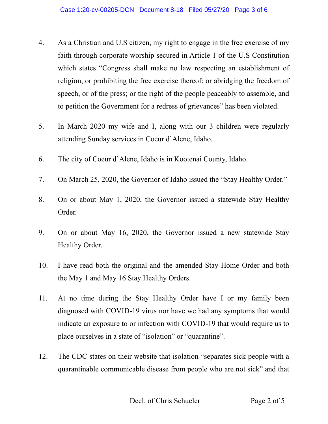- 4. As a Christian and U.S citizen, my right to engage in the free exercise of my faith through corporate worship secured in Article 1 of the U.S Constitution which states "Congress shall make no law respecting an establishment of religion, or prohibiting the free exercise thereof; or abridging the freedom of speech, or of the press; or the right of the people peaceably to assemble, and to petition the Government for a redress of grievances" has been violated.
- 5. In March 2020 my wife and I, along with our 3 children were regularly attending Sunday services in Coeur d'Alene, Idaho.
- 6. The city of Coeur d'Alene, Idaho is in Kootenai County, Idaho.
- 7. On March 25, 2020, the Governor of Idaho issued the "Stay Healthy Order."
- 8. On or about May 1, 2020, the Governor issued a statewide Stay Healthy Order.
- 9. On or about May 16, 2020, the Governor issued a new statewide Stay Healthy Order.
- 10. I have read both the original and the amended Stay-Home Order and both the May 1 and May 16 Stay Healthy Orders.
- 11. At no time during the Stay Healthy Order have I or my family been diagnosed with COVID-19 virus nor have we had any symptoms that would indicate an exposure to or infection with COVID-19 that would require us to place ourselves in a state of "isolation" or "quarantine".
- 12. The CDC states on their website that isolation "separates sick people with a quarantinable communicable disease from people who are not sick" and that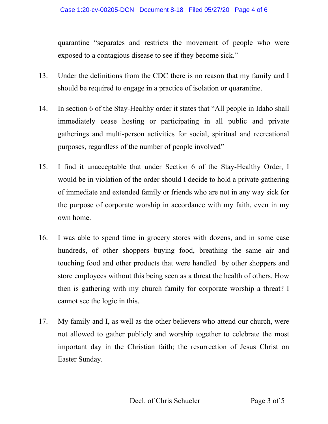quarantine "separates and restricts the movement of people who were exposed to a contagious disease to see if they become sick."

- 13. Under the definitions from the CDC there is no reason that my family and I should be required to engage in a practice of isolation or quarantine.
- 14. In section 6 of the Stay-Healthy order it states that "All people in Idaho shall immediately cease hosting or participating in all public and private gatherings and multi-person activities for social, spiritual and recreational purposes, regardless of the number of people involved"
- 15. I find it unacceptable that under Section 6 of the Stay-Healthy Order, I would be in violation of the order should I decide to hold a private gathering of immediate and extended family or friends who are not in any way sick for the purpose of corporate worship in accordance with my faith, even in my own home.
- 16. I was able to spend time in grocery stores with dozens, and in some case hundreds, of other shoppers buying food, breathing the same air and touching food and other products that were handled by other shoppers and store employees without this being seen as a threat the health of others. How then is gathering with my church family for corporate worship a threat? I cannot see the logic in this.
- 17. My family and I, as well as the other believers who attend our church, were not allowed to gather publicly and worship together to celebrate the most important day in the Christian faith; the resurrection of Jesus Christ on Easter Sunday.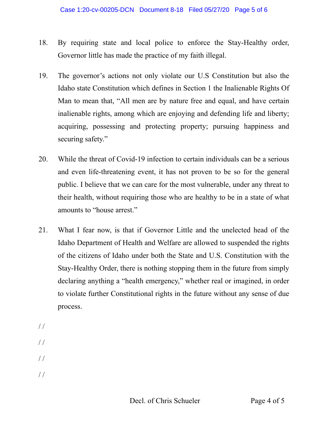- 18. By requiring state and local police to enforce the Stay-Healthy order, Governor little has made the practice of my faith illegal.
- 19. The governor's actions not only violate our U.S Constitution but also the Idaho state Constitution which defines in Section 1 the Inalienable Rights Of Man to mean that, "All men are by nature free and equal, and have certain inalienable rights, among which are enjoying and defending life and liberty; acquiring, possessing and protecting property; pursuing happiness and securing safety."
- 20. While the threat of Covid-19 infection to certain individuals can be a serious and even life-threatening event, it has not proven to be so for the general public. I believe that we can care for the most vulnerable, under any threat to their health, without requiring those who are healthy to be in a state of what amounts to "house arrest."
- 21. What I fear now, is that if Governor Little and the unelected head of the Idaho Department of Health and Welfare are allowed to suspended the rights of the citizens of Idaho under both the State and U.S. Constitution with the Stay-Healthy Order, there is nothing stopping them in the future from simply declaring anything a "health emergency," whether real or imagined, in order to violate further Constitutional rights in the future without any sense of due process.
- / / / /  $/$  / / /